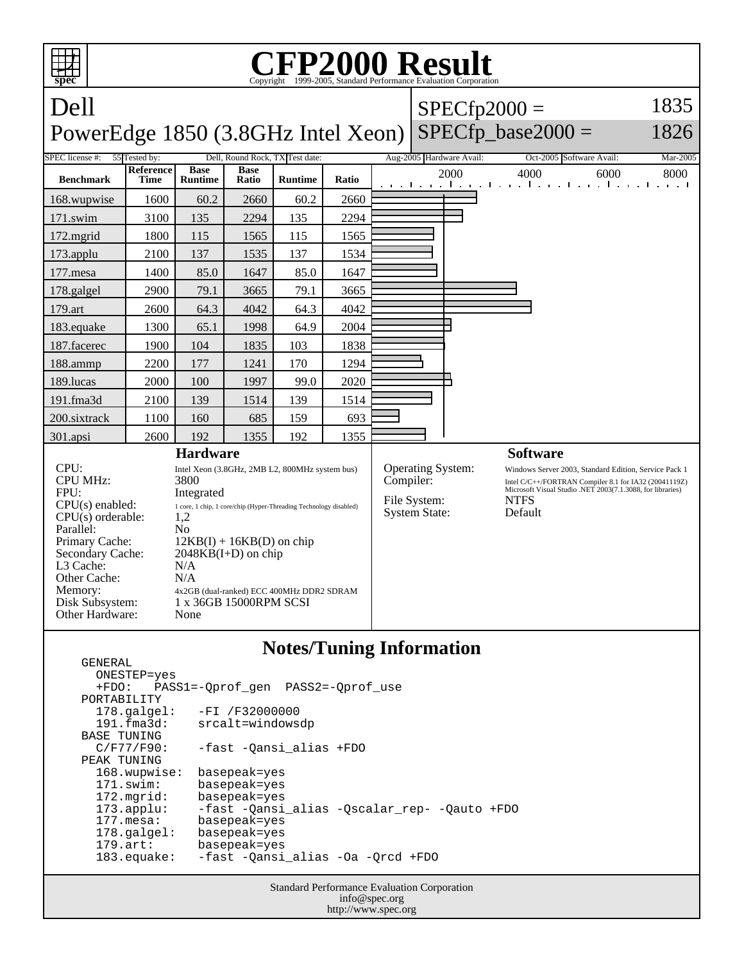

## **Notes/Tuning Information**

 GENERAL ONESTEP=yes +FDO: PASS1=-Qprof\_gen PASS2=-Qprof\_use PORTABILITY<br>178.galgel: -FI /F32000000 191.fma3d: srcalt=windowsdp BASE TUNING<br>C/F77/F90: -fast -Qansi\_alias +FDO PEAK TUNING 168.wupwise: basepeak=yes 171.swim: basepeak=yes 172.mgrid: basepeak=yes<br>173.applu: -fast -Qansi 173.applu: -fast -Qansi\_alias -Qscalar\_rep- -Qauto +FDO basepeak=yes 178.galgel: basepeak=yes 179.art: basepeak=yes 183.equake: -fast -Qansi\_alias -Oa -Qrcd +FDO

> Standard Performance Evaluation Corporation info@spec.org http://www.spec.org